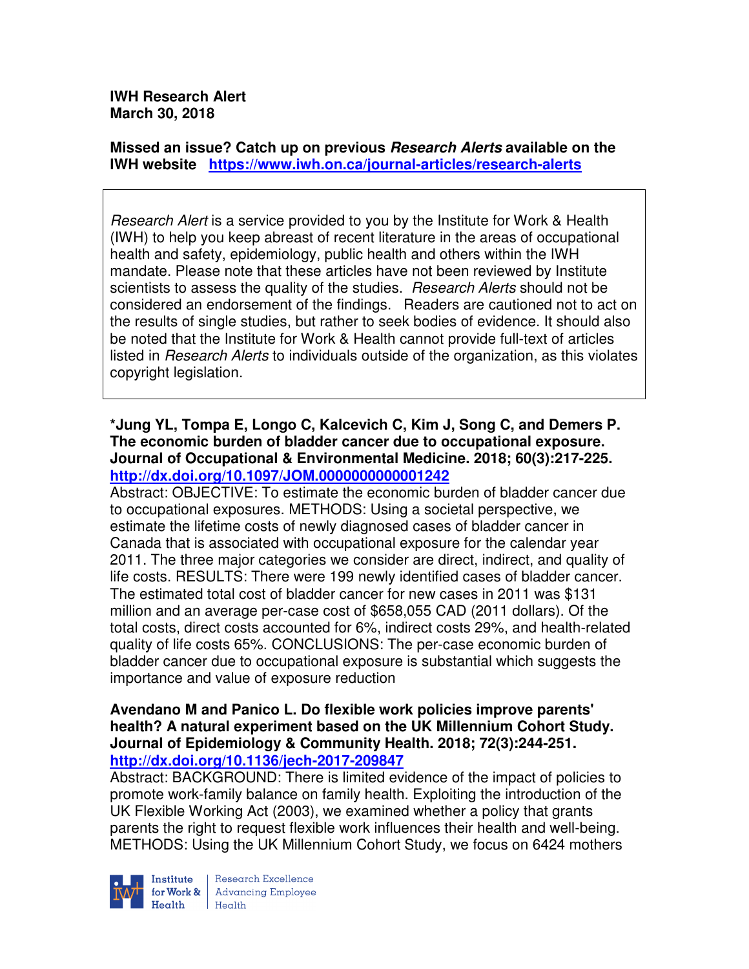**IWH Research Alert March 30, 2018** 

**Missed an issue? Catch up on previous Research Alerts available on the IWH website https://www.iwh.on.ca/journal-articles/research-alerts** 

Research Alert is a service provided to you by the Institute for Work & Health (IWH) to help you keep abreast of recent literature in the areas of occupational health and safety, epidemiology, public health and others within the IWH mandate. Please note that these articles have not been reviewed by Institute scientists to assess the quality of the studies. *Research Alerts* should not be considered an endorsement of the findings. Readers are cautioned not to act on the results of single studies, but rather to seek bodies of evidence. It should also be noted that the Institute for Work & Health cannot provide full-text of articles listed in Research Alerts to individuals outside of the organization, as this violates copyright legislation.

**\*Jung YL, Tompa E, Longo C, Kalcevich C, Kim J, Song C, and Demers P. The economic burden of bladder cancer due to occupational exposure. Journal of Occupational & Environmental Medicine. 2018; 60(3):217-225. http://dx.doi.org/10.1097/JOM.0000000000001242** 

Abstract: OBJECTIVE: To estimate the economic burden of bladder cancer due to occupational exposures. METHODS: Using a societal perspective, we estimate the lifetime costs of newly diagnosed cases of bladder cancer in Canada that is associated with occupational exposure for the calendar year 2011. The three major categories we consider are direct, indirect, and quality of life costs. RESULTS: There were 199 newly identified cases of bladder cancer. The estimated total cost of bladder cancer for new cases in 2011 was \$131 million and an average per-case cost of \$658,055 CAD (2011 dollars). Of the total costs, direct costs accounted for 6%, indirect costs 29%, and health-related quality of life costs 65%. CONCLUSIONS: The per-case economic burden of bladder cancer due to occupational exposure is substantial which suggests the importance and value of exposure reduction

## **Avendano M and Panico L. Do flexible work policies improve parents' health? A natural experiment based on the UK Millennium Cohort Study. Journal of Epidemiology & Community Health. 2018; 72(3):244-251. http://dx.doi.org/10.1136/jech-2017-209847**

Abstract: BACKGROUND: There is limited evidence of the impact of policies to promote work-family balance on family health. Exploiting the introduction of the UK Flexible Working Act (2003), we examined whether a policy that grants parents the right to request flexible work influences their health and well-being. METHODS: Using the UK Millennium Cohort Study, we focus on 6424 mothers

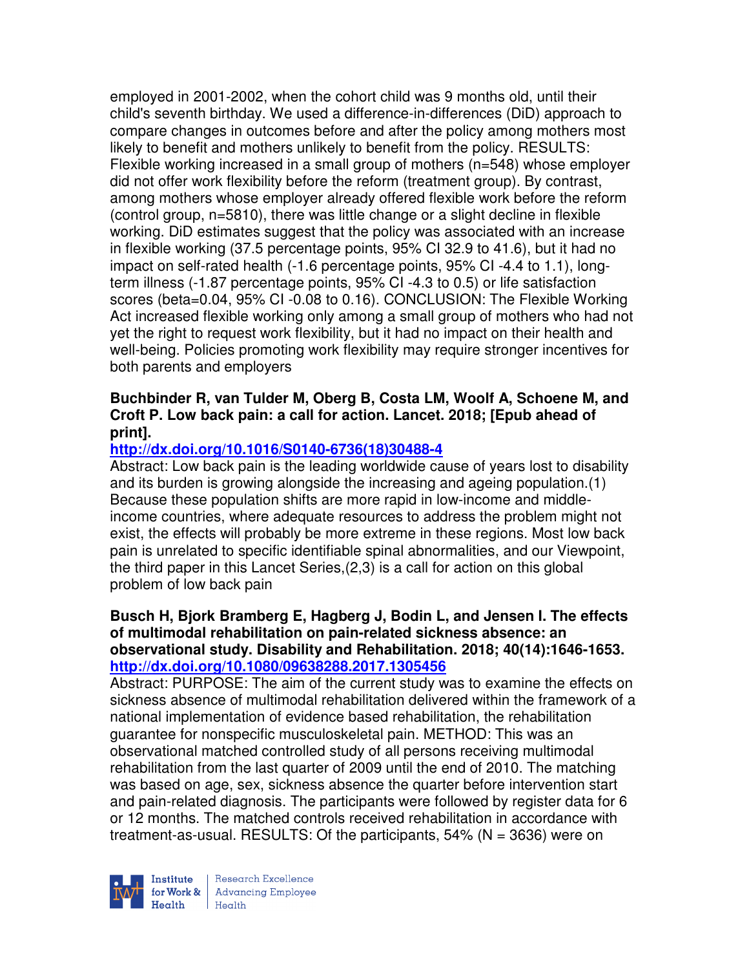employed in 2001-2002, when the cohort child was 9 months old, until their child's seventh birthday. We used a difference-in-differences (DiD) approach to compare changes in outcomes before and after the policy among mothers most likely to benefit and mothers unlikely to benefit from the policy. RESULTS: Flexible working increased in a small group of mothers (n=548) whose employer did not offer work flexibility before the reform (treatment group). By contrast, among mothers whose employer already offered flexible work before the reform (control group, n=5810), there was little change or a slight decline in flexible working. DiD estimates suggest that the policy was associated with an increase in flexible working (37.5 percentage points, 95% CI 32.9 to 41.6), but it had no impact on self-rated health (-1.6 percentage points, 95% CI -4.4 to 1.1), longterm illness (-1.87 percentage points, 95% CI -4.3 to 0.5) or life satisfaction scores (beta=0.04, 95% CI -0.08 to 0.16). CONCLUSION: The Flexible Working Act increased flexible working only among a small group of mothers who had not yet the right to request work flexibility, but it had no impact on their health and well-being. Policies promoting work flexibility may require stronger incentives for both parents and employers

# **Buchbinder R, van Tulder M, Oberg B, Costa LM, Woolf A, Schoene M, and Croft P. Low back pain: a call for action. Lancet. 2018; [Epub ahead of print].**

# **http://dx.doi.org/10.1016/S0140-6736(18)30488-4**

Abstract: Low back pain is the leading worldwide cause of years lost to disability and its burden is growing alongside the increasing and ageing population.(1) Because these population shifts are more rapid in low-income and middleincome countries, where adequate resources to address the problem might not exist, the effects will probably be more extreme in these regions. Most low back pain is unrelated to specific identifiable spinal abnormalities, and our Viewpoint, the third paper in this Lancet Series,(2,3) is a call for action on this global problem of low back pain

#### **Busch H, Bjork Bramberg E, Hagberg J, Bodin L, and Jensen I. The effects of multimodal rehabilitation on pain-related sickness absence: an observational study. Disability and Rehabilitation. 2018; 40(14):1646-1653. http://dx.doi.org/10.1080/09638288.2017.1305456**

Abstract: PURPOSE: The aim of the current study was to examine the effects on sickness absence of multimodal rehabilitation delivered within the framework of a national implementation of evidence based rehabilitation, the rehabilitation guarantee for nonspecific musculoskeletal pain. METHOD: This was an observational matched controlled study of all persons receiving multimodal rehabilitation from the last quarter of 2009 until the end of 2010. The matching was based on age, sex, sickness absence the quarter before intervention start and pain-related diagnosis. The participants were followed by register data for 6 or 12 months. The matched controls received rehabilitation in accordance with treatment-as-usual. RESULTS: Of the participants,  $54\%$  (N = 3636) were on

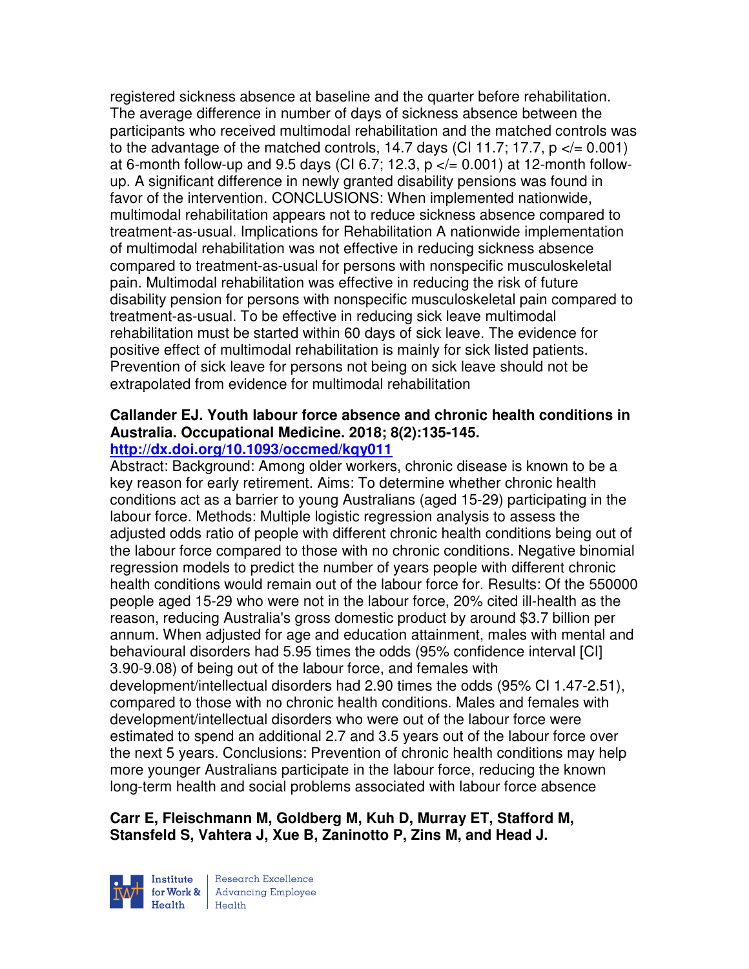registered sickness absence at baseline and the quarter before rehabilitation. The average difference in number of days of sickness absence between the participants who received multimodal rehabilitation and the matched controls was to the advantage of the matched controls, 14.7 days (CI 11.7; 17.7,  $p \ll 0.001$ ) at 6-month follow-up and 9.5 days (CI 6.7; 12.3,  $p \le 0.001$ ) at 12-month followup. A significant difference in newly granted disability pensions was found in favor of the intervention. CONCLUSIONS: When implemented nationwide, multimodal rehabilitation appears not to reduce sickness absence compared to treatment-as-usual. Implications for Rehabilitation A nationwide implementation of multimodal rehabilitation was not effective in reducing sickness absence compared to treatment-as-usual for persons with nonspecific musculoskeletal pain. Multimodal rehabilitation was effective in reducing the risk of future disability pension for persons with nonspecific musculoskeletal pain compared to treatment-as-usual. To be effective in reducing sick leave multimodal rehabilitation must be started within 60 days of sick leave. The evidence for positive effect of multimodal rehabilitation is mainly for sick listed patients. Prevention of sick leave for persons not being on sick leave should not be extrapolated from evidence for multimodal rehabilitation

# **Callander EJ. Youth labour force absence and chronic health conditions in Australia. Occupational Medicine. 2018; 8(2):135-145.**

# **http://dx.doi.org/10.1093/occmed/kqy011**

Abstract: Background: Among older workers, chronic disease is known to be a key reason for early retirement. Aims: To determine whether chronic health conditions act as a barrier to young Australians (aged 15-29) participating in the labour force. Methods: Multiple logistic regression analysis to assess the adjusted odds ratio of people with different chronic health conditions being out of the labour force compared to those with no chronic conditions. Negative binomial regression models to predict the number of years people with different chronic health conditions would remain out of the labour force for. Results: Of the 550000 people aged 15-29 who were not in the labour force, 20% cited ill-health as the reason, reducing Australia's gross domestic product by around \$3.7 billion per annum. When adjusted for age and education attainment, males with mental and behavioural disorders had 5.95 times the odds (95% confidence interval [CI] 3.90-9.08) of being out of the labour force, and females with development/intellectual disorders had 2.90 times the odds (95% CI 1.47-2.51), compared to those with no chronic health conditions. Males and females with development/intellectual disorders who were out of the labour force were estimated to spend an additional 2.7 and 3.5 years out of the labour force over the next 5 years. Conclusions: Prevention of chronic health conditions may help more younger Australians participate in the labour force, reducing the known long-term health and social problems associated with labour force absence

# **Carr E, Fleischmann M, Goldberg M, Kuh D, Murray ET, Stafford M, Stansfeld S, Vahtera J, Xue B, Zaninotto P, Zins M, and Head J.**

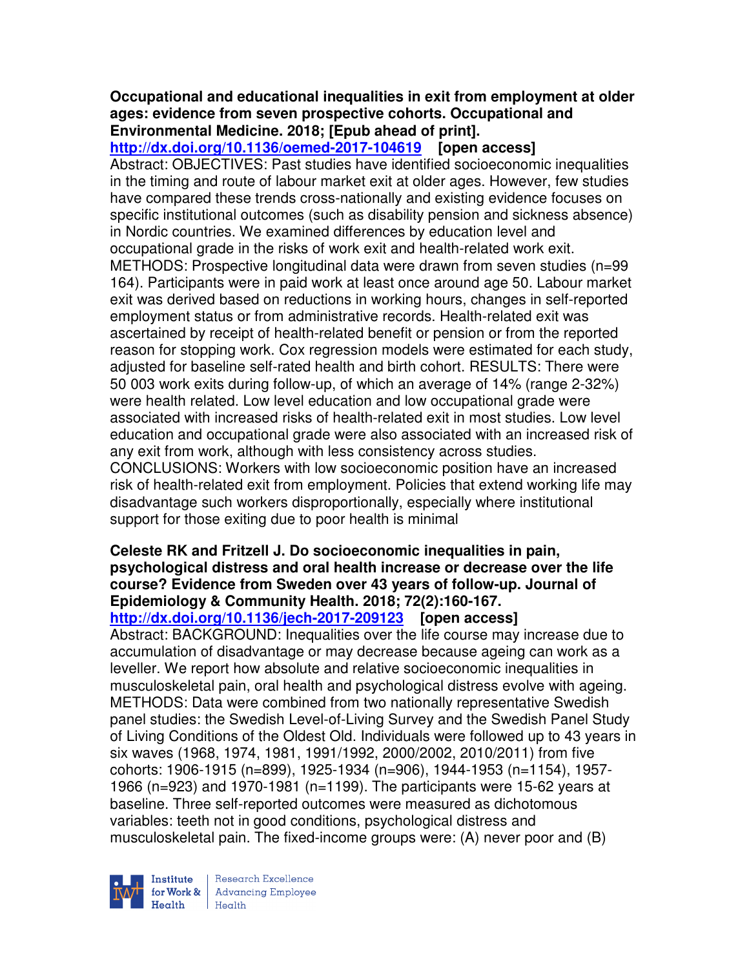#### **Occupational and educational inequalities in exit from employment at older ages: evidence from seven prospective cohorts. Occupational and Environmental Medicine. 2018; [Epub ahead of print].**

**http://dx.doi.org/10.1136/oemed-2017-104619 [open access]** Abstract: OBJECTIVES: Past studies have identified socioeconomic inequalities in the timing and route of labour market exit at older ages. However, few studies have compared these trends cross-nationally and existing evidence focuses on specific institutional outcomes (such as disability pension and sickness absence) in Nordic countries. We examined differences by education level and occupational grade in the risks of work exit and health-related work exit. METHODS: Prospective longitudinal data were drawn from seven studies (n=99 164). Participants were in paid work at least once around age 50. Labour market exit was derived based on reductions in working hours, changes in self-reported employment status or from administrative records. Health-related exit was ascertained by receipt of health-related benefit or pension or from the reported reason for stopping work. Cox regression models were estimated for each study, adjusted for baseline self-rated health and birth cohort. RESULTS: There were 50 003 work exits during follow-up, of which an average of 14% (range 2-32%) were health related. Low level education and low occupational grade were associated with increased risks of health-related exit in most studies. Low level education and occupational grade were also associated with an increased risk of any exit from work, although with less consistency across studies. CONCLUSIONS: Workers with low socioeconomic position have an increased risk of health-related exit from employment. Policies that extend working life may disadvantage such workers disproportionally, especially where institutional support for those exiting due to poor health is minimal

#### **Celeste RK and Fritzell J. Do socioeconomic inequalities in pain, psychological distress and oral health increase or decrease over the life course? Evidence from Sweden over 43 years of follow-up. Journal of Epidemiology & Community Health. 2018; 72(2):160-167. http://dx.doi.org/10.1136/jech-2017-209123 [open access]**

Abstract: BACKGROUND: Inequalities over the life course may increase due to accumulation of disadvantage or may decrease because ageing can work as a leveller. We report how absolute and relative socioeconomic inequalities in musculoskeletal pain, oral health and psychological distress evolve with ageing. METHODS: Data were combined from two nationally representative Swedish panel studies: the Swedish Level-of-Living Survey and the Swedish Panel Study of Living Conditions of the Oldest Old. Individuals were followed up to 43 years in six waves (1968, 1974, 1981, 1991/1992, 2000/2002, 2010/2011) from five cohorts: 1906-1915 (n=899), 1925-1934 (n=906), 1944-1953 (n=1154), 1957- 1966 (n=923) and 1970-1981 (n=1199). The participants were 15-62 years at baseline. Three self-reported outcomes were measured as dichotomous variables: teeth not in good conditions, psychological distress and musculoskeletal pain. The fixed-income groups were: (A) never poor and (B)

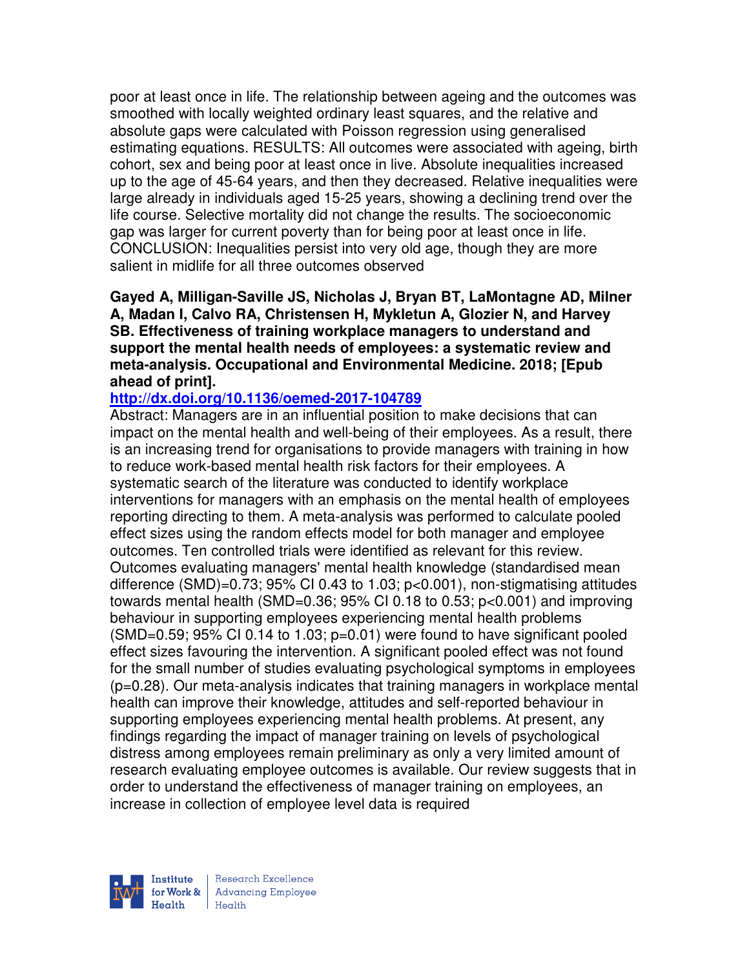poor at least once in life. The relationship between ageing and the outcomes was smoothed with locally weighted ordinary least squares, and the relative and absolute gaps were calculated with Poisson regression using generalised estimating equations. RESULTS: All outcomes were associated with ageing, birth cohort, sex and being poor at least once in live. Absolute inequalities increased up to the age of 45-64 years, and then they decreased. Relative inequalities were large already in individuals aged 15-25 years, showing a declining trend over the life course. Selective mortality did not change the results. The socioeconomic gap was larger for current poverty than for being poor at least once in life. CONCLUSION: Inequalities persist into very old age, though they are more salient in midlife for all three outcomes observed

**Gayed A, Milligan-Saville JS, Nicholas J, Bryan BT, LaMontagne AD, Milner A, Madan I, Calvo RA, Christensen H, Mykletun A, Glozier N, and Harvey SB. Effectiveness of training workplace managers to understand and support the mental health needs of employees: a systematic review and meta-analysis. Occupational and Environmental Medicine. 2018; [Epub ahead of print].** 

#### **http://dx.doi.org/10.1136/oemed-2017-104789**

Abstract: Managers are in an influential position to make decisions that can impact on the mental health and well-being of their employees. As a result, there is an increasing trend for organisations to provide managers with training in how to reduce work-based mental health risk factors for their employees. A systematic search of the literature was conducted to identify workplace interventions for managers with an emphasis on the mental health of employees reporting directing to them. A meta-analysis was performed to calculate pooled effect sizes using the random effects model for both manager and employee outcomes. Ten controlled trials were identified as relevant for this review. Outcomes evaluating managers' mental health knowledge (standardised mean difference (SMD)=0.73; 95% CI 0.43 to 1.03; p<0.001), non-stigmatising attitudes towards mental health (SMD=0.36; 95% CI 0.18 to 0.53; p<0.001) and improving behaviour in supporting employees experiencing mental health problems  $(SMD=0.59; 95\% \text{ Cl } 0.14 \text{ to } 1.03; p=0.01)$  were found to have significant pooled effect sizes favouring the intervention. A significant pooled effect was not found for the small number of studies evaluating psychological symptoms in employees (p=0.28). Our meta-analysis indicates that training managers in workplace mental health can improve their knowledge, attitudes and self-reported behaviour in supporting employees experiencing mental health problems. At present, any findings regarding the impact of manager training on levels of psychological distress among employees remain preliminary as only a very limited amount of research evaluating employee outcomes is available. Our review suggests that in order to understand the effectiveness of manager training on employees, an increase in collection of employee level data is required

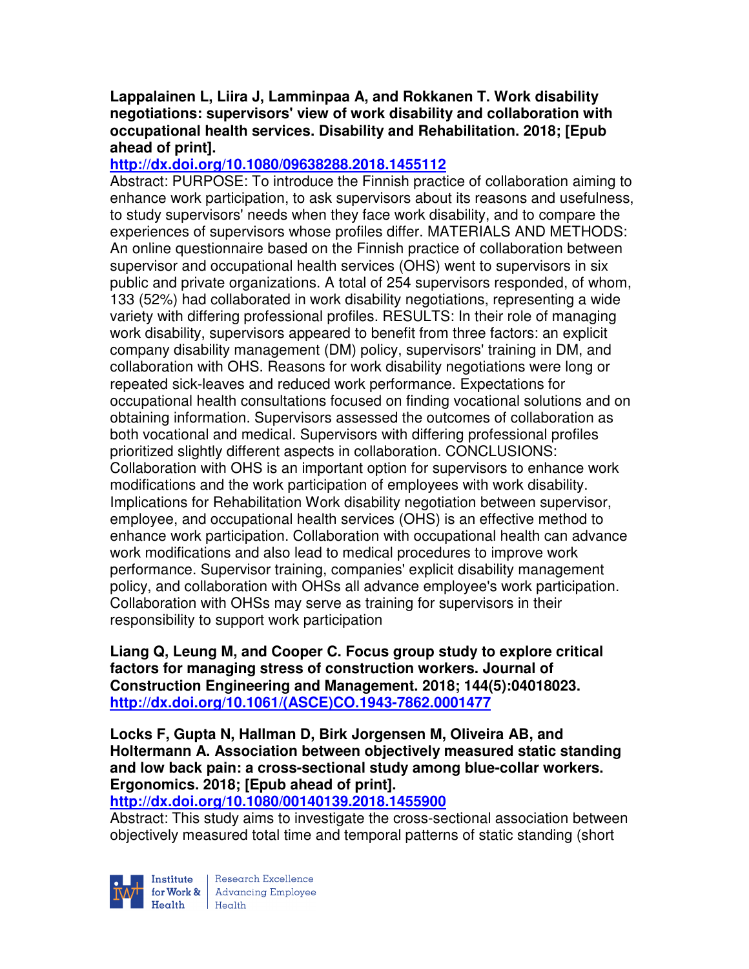## **Lappalainen L, Liira J, Lamminpaa A, and Rokkanen T. Work disability negotiations: supervisors' view of work disability and collaboration with occupational health services. Disability and Rehabilitation. 2018; [Epub ahead of print].**

# **http://dx.doi.org/10.1080/09638288.2018.1455112**

Abstract: PURPOSE: To introduce the Finnish practice of collaboration aiming to enhance work participation, to ask supervisors about its reasons and usefulness, to study supervisors' needs when they face work disability, and to compare the experiences of supervisors whose profiles differ. MATERIALS AND METHODS: An online questionnaire based on the Finnish practice of collaboration between supervisor and occupational health services (OHS) went to supervisors in six public and private organizations. A total of 254 supervisors responded, of whom, 133 (52%) had collaborated in work disability negotiations, representing a wide variety with differing professional profiles. RESULTS: In their role of managing work disability, supervisors appeared to benefit from three factors: an explicit company disability management (DM) policy, supervisors' training in DM, and collaboration with OHS. Reasons for work disability negotiations were long or repeated sick-leaves and reduced work performance. Expectations for occupational health consultations focused on finding vocational solutions and on obtaining information. Supervisors assessed the outcomes of collaboration as both vocational and medical. Supervisors with differing professional profiles prioritized slightly different aspects in collaboration. CONCLUSIONS: Collaboration with OHS is an important option for supervisors to enhance work modifications and the work participation of employees with work disability. Implications for Rehabilitation Work disability negotiation between supervisor, employee, and occupational health services (OHS) is an effective method to enhance work participation. Collaboration with occupational health can advance work modifications and also lead to medical procedures to improve work performance. Supervisor training, companies' explicit disability management policy, and collaboration with OHSs all advance employee's work participation. Collaboration with OHSs may serve as training for supervisors in their responsibility to support work participation

**Liang Q, Leung M, and Cooper C. Focus group study to explore critical factors for managing stress of construction workers. Journal of Construction Engineering and Management. 2018; 144(5):04018023. http://dx.doi.org/10.1061/(ASCE)CO.1943-7862.0001477** 

**Locks F, Gupta N, Hallman D, Birk Jorgensen M, Oliveira AB, and Holtermann A. Association between objectively measured static standing and low back pain: a cross-sectional study among blue-collar workers. Ergonomics. 2018; [Epub ahead of print].** 

#### **http://dx.doi.org/10.1080/00140139.2018.1455900**

Abstract: This study aims to investigate the cross-sectional association between objectively measured total time and temporal patterns of static standing (short

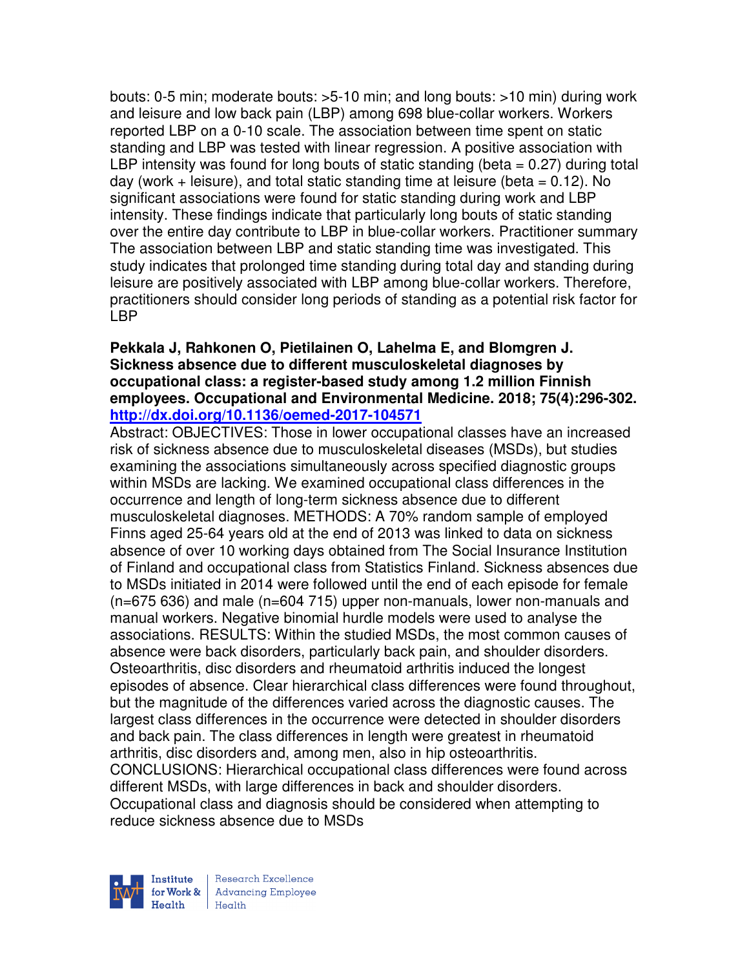bouts: 0-5 min; moderate bouts: >5-10 min; and long bouts: >10 min) during work and leisure and low back pain (LBP) among 698 blue-collar workers. Workers reported LBP on a 0-10 scale. The association between time spent on static standing and LBP was tested with linear regression. A positive association with LBP intensity was found for long bouts of static standing (beta  $= 0.27$ ) during total day (work  $+$  leisure), and total static standing time at leisure (beta  $= 0.12$ ). No significant associations were found for static standing during work and LBP intensity. These findings indicate that particularly long bouts of static standing over the entire day contribute to LBP in blue-collar workers. Practitioner summary The association between LBP and static standing time was investigated. This study indicates that prolonged time standing during total day and standing during leisure are positively associated with LBP among blue-collar workers. Therefore, practitioners should consider long periods of standing as a potential risk factor for LBP

#### **Pekkala J, Rahkonen O, Pietilainen O, Lahelma E, and Blomgren J. Sickness absence due to different musculoskeletal diagnoses by occupational class: a register-based study among 1.2 million Finnish employees. Occupational and Environmental Medicine. 2018; 75(4):296-302. http://dx.doi.org/10.1136/oemed-2017-104571**

Abstract: OBJECTIVES: Those in lower occupational classes have an increased risk of sickness absence due to musculoskeletal diseases (MSDs), but studies examining the associations simultaneously across specified diagnostic groups within MSDs are lacking. We examined occupational class differences in the occurrence and length of long-term sickness absence due to different musculoskeletal diagnoses. METHODS: A 70% random sample of employed Finns aged 25-64 years old at the end of 2013 was linked to data on sickness absence of over 10 working days obtained from The Social Insurance Institution of Finland and occupational class from Statistics Finland. Sickness absences due to MSDs initiated in 2014 were followed until the end of each episode for female (n=675 636) and male (n=604 715) upper non-manuals, lower non-manuals and manual workers. Negative binomial hurdle models were used to analyse the associations. RESULTS: Within the studied MSDs, the most common causes of absence were back disorders, particularly back pain, and shoulder disorders. Osteoarthritis, disc disorders and rheumatoid arthritis induced the longest episodes of absence. Clear hierarchical class differences were found throughout, but the magnitude of the differences varied across the diagnostic causes. The largest class differences in the occurrence were detected in shoulder disorders and back pain. The class differences in length were greatest in rheumatoid arthritis, disc disorders and, among men, also in hip osteoarthritis. CONCLUSIONS: Hierarchical occupational class differences were found across different MSDs, with large differences in back and shoulder disorders. Occupational class and diagnosis should be considered when attempting to reduce sickness absence due to MSDs

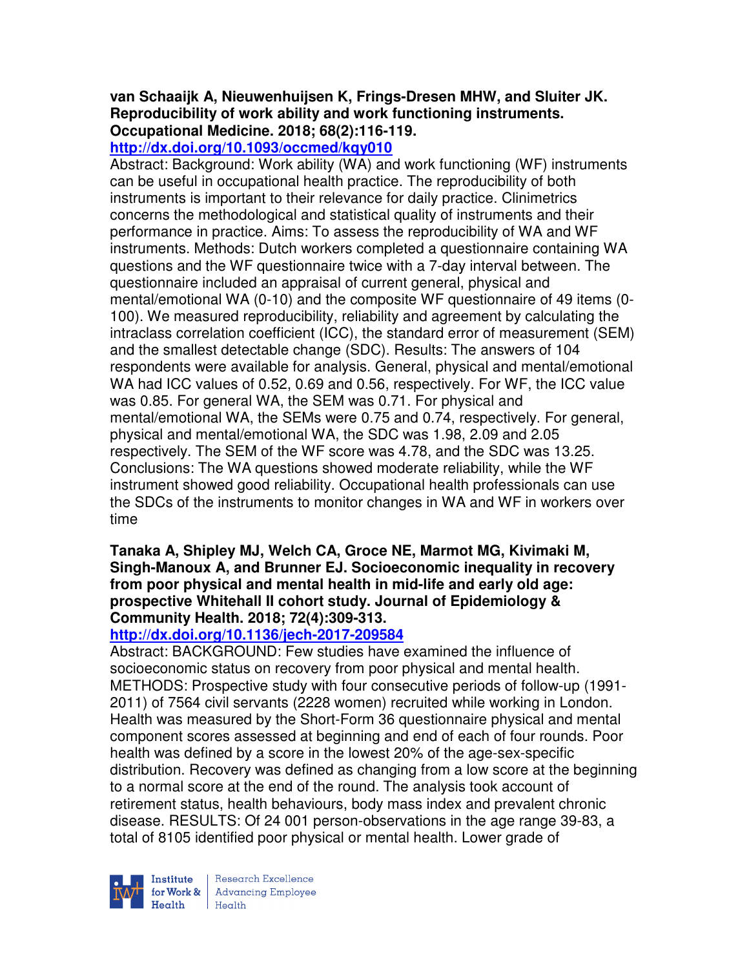# **van Schaaijk A, Nieuwenhuijsen K, Frings-Dresen MHW, and Sluiter JK. Reproducibility of work ability and work functioning instruments. Occupational Medicine. 2018; 68(2):116-119.**

# **http://dx.doi.org/10.1093/occmed/kqy010**

Abstract: Background: Work ability (WA) and work functioning (WF) instruments can be useful in occupational health practice. The reproducibility of both instruments is important to their relevance for daily practice. Clinimetrics concerns the methodological and statistical quality of instruments and their performance in practice. Aims: To assess the reproducibility of WA and WF instruments. Methods: Dutch workers completed a questionnaire containing WA questions and the WF questionnaire twice with a 7-day interval between. The questionnaire included an appraisal of current general, physical and mental/emotional WA (0-10) and the composite WF questionnaire of 49 items (0- 100). We measured reproducibility, reliability and agreement by calculating the intraclass correlation coefficient (ICC), the standard error of measurement (SEM) and the smallest detectable change (SDC). Results: The answers of 104 respondents were available for analysis. General, physical and mental/emotional WA had ICC values of 0.52, 0.69 and 0.56, respectively. For WF, the ICC value was 0.85. For general WA, the SEM was 0.71. For physical and mental/emotional WA, the SEMs were 0.75 and 0.74, respectively. For general, physical and mental/emotional WA, the SDC was 1.98, 2.09 and 2.05 respectively. The SEM of the WF score was 4.78, and the SDC was 13.25. Conclusions: The WA questions showed moderate reliability, while the WF instrument showed good reliability. Occupational health professionals can use the SDCs of the instruments to monitor changes in WA and WF in workers over time

## **Tanaka A, Shipley MJ, Welch CA, Groce NE, Marmot MG, Kivimaki M, Singh-Manoux A, and Brunner EJ. Socioeconomic inequality in recovery from poor physical and mental health in mid-life and early old age: prospective Whitehall II cohort study. Journal of Epidemiology & Community Health. 2018; 72(4):309-313.**

# **http://dx.doi.org/10.1136/jech-2017-209584**

Abstract: BACKGROUND: Few studies have examined the influence of socioeconomic status on recovery from poor physical and mental health. METHODS: Prospective study with four consecutive periods of follow-up (1991- 2011) of 7564 civil servants (2228 women) recruited while working in London. Health was measured by the Short-Form 36 questionnaire physical and mental component scores assessed at beginning and end of each of four rounds. Poor health was defined by a score in the lowest 20% of the age-sex-specific distribution. Recovery was defined as changing from a low score at the beginning to a normal score at the end of the round. The analysis took account of retirement status, health behaviours, body mass index and prevalent chronic disease. RESULTS: Of 24 001 person-observations in the age range 39-83, a total of 8105 identified poor physical or mental health. Lower grade of